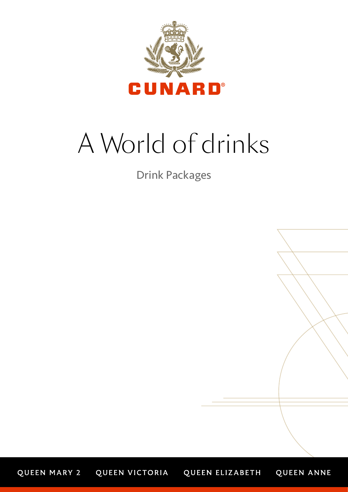

# A World of drinks

Drink Packages

QUEEN ANNE QUEEN MARY 2 QUEEN VICTORIA QUEEN ELIZABETH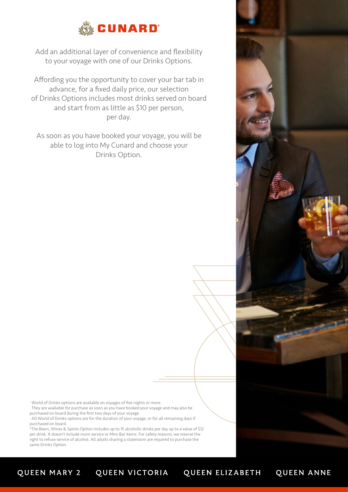

Add an additional layer of convenience and flexibility to your voyage with one of our Drinks Options.

Affording you the opportunity to cover your bar tab in advance, for a fixed daily price, our selection of Drinks Options includes most drinks served on board and start from as little as \$10 per person, per day.

As soon as you have booked your voyage, you will be able to log into My Cunard and choose your Drinks Option.

· World of Drinks options are available on voyages of five nights or more.

· They are available for purchase as soon as you have booked your voyage and may also be purchased on board during the first two days of your voyage.

· All World of Drinks options are for the duration of your voyage, or for all remaining days if purchased on board.

\*The Beers, Wines & Spirits Option includes up to 15 alcoholic drinks per day up to a value of \$12 per drink. It doesn't include room service or Mini-Bar items. For safety reasons, we reserve the right to refuse service of alcohol. All adults sharing a stateroom are required to purchase the same Drinks Option.